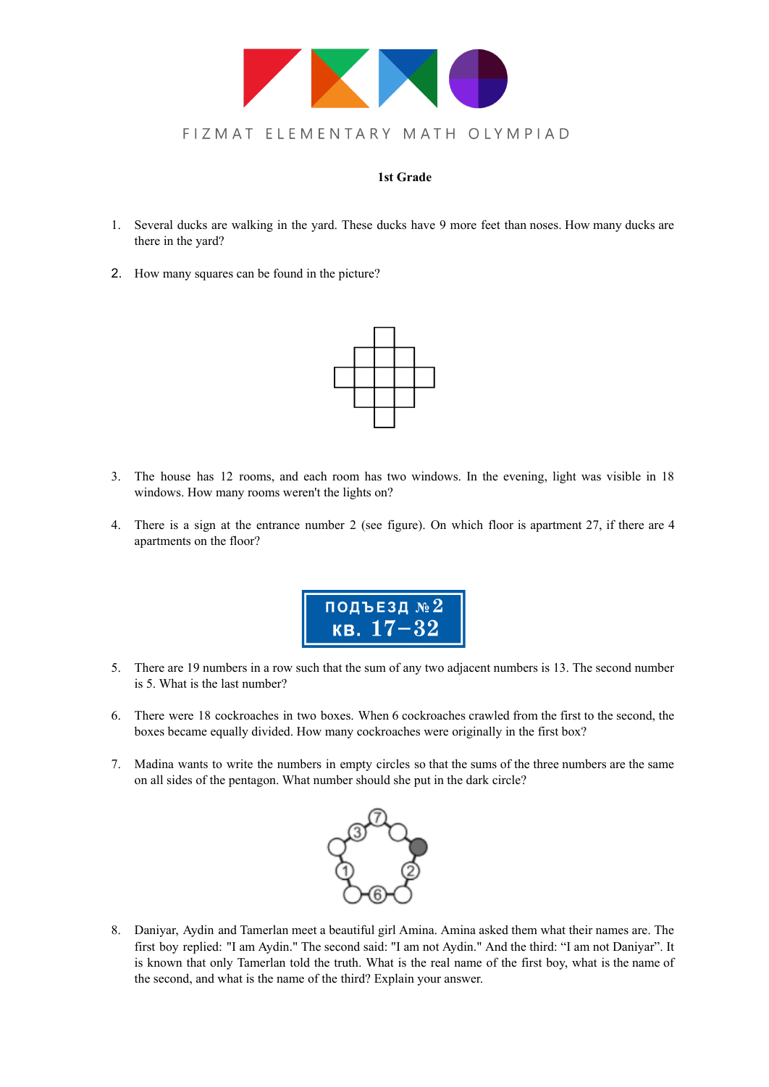

#### **1st Grade**

- 1. Several ducks are walking in the yard. These ducks have 9 more feet than noses. How many ducks are there in the yard?
- 2. How many squares can be found in the picture?



- 3. The house has 12 rooms, and each room has two windows. In the evening, light was visible in 18 windows. How many rooms weren't the lights on?
- 4. There is a sign at the entrance number 2 (see figure). On which floor is apartment 27, if there are 4 apartments on the floor?



- 5. There are 19 numbers in a row such that the sum of any two adjacent numbers is 13. The second number is 5. What is the last number?
- 6. There were 18 cockroaches in two boxes. When 6 cockroaches crawled from the first to the second, the boxes became equally divided. How many cockroaches were originally in the first box?
- 7. Madina wants to write the numbers in empty circles so that the sums of the three numbers are the same on all sides of the pentagon. What number should she put in the dark circle?



8. Daniyar, Aydin and Tamerlan meet a beautiful girl Amina. Amina asked them what their names are. The first boy replied: "I am Aydin." The second said: "I am not Aydin." And the third: "I am not Daniyar". It is known that only Tamerlan told the truth. What is the real name of the first boy, what is the name of the second, and what is the name of the third? Explain your answer.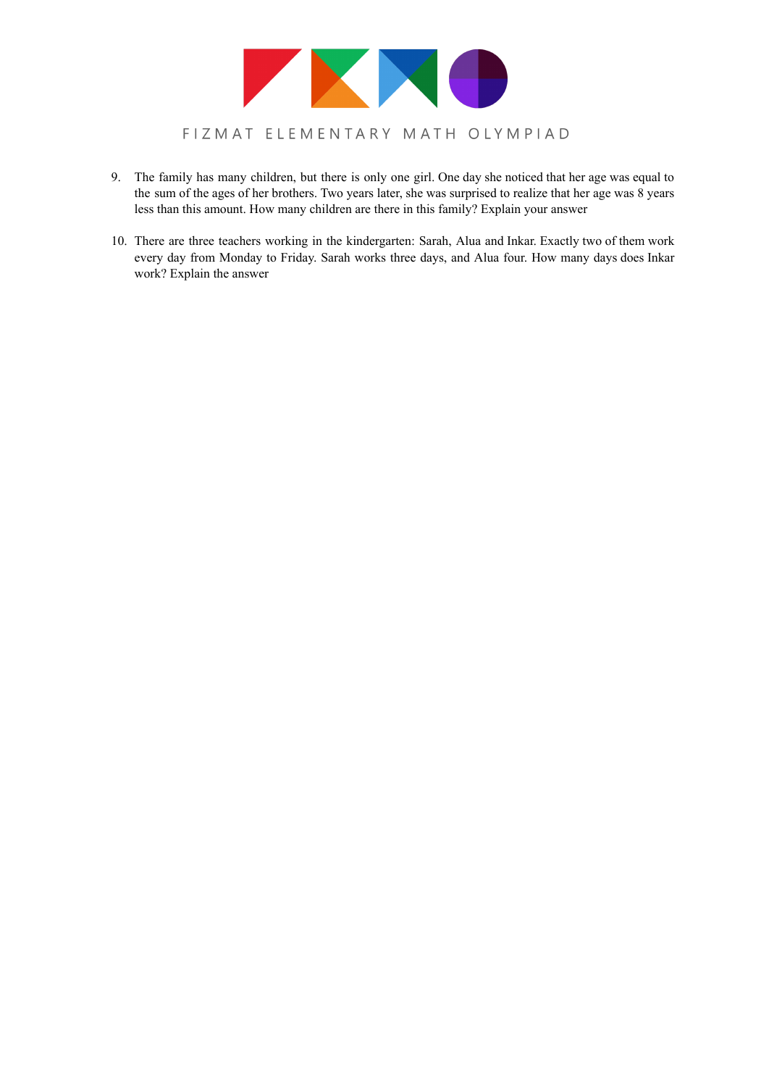

- 9. The family has many children, but there is only one girl. One day she noticed that her age was equal to the sum of the ages of her brothers. Two years later, she was surprised to realize that her age was 8 years less than this amount. How many children are there in this family? Explain your answer
- 10. There are three teachers working in the kindergarten: Sarah, Alua and Inkar. Exactly two of them work every day from Monday to Friday. Sarah works three days, and Alua four. How many days does Inkar work? Explain the answer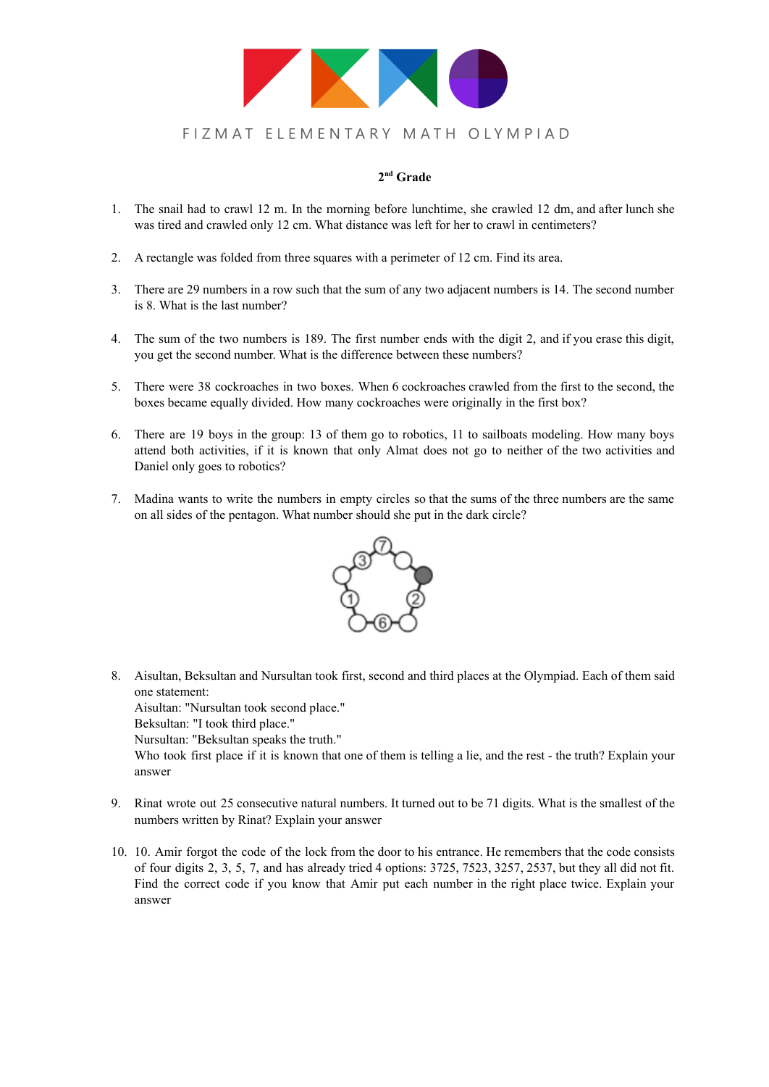

### **2 nd Grade**

- 1. The snail had to crawl 12 m. In the morning before lunchtime, she crawled 12 dm, and after lunch she was tired and crawled only 12 cm. What distance was left for her to crawl in centimeters?
- 2. A rectangle was folded from three squares with a perimeter of 12 cm. Find its area.
- 3. There are 29 numbers in a row such that the sum of any two adjacent numbers is 14. The second number is 8. What is the last number?
- 4. The sum of the two numbers is 189. The first number ends with the digit 2, and if you erase this digit, you get the second number. What is the difference between these numbers?
- 5. There were 38 cockroaches in two boxes. When 6 cockroaches crawled from the first to the second, the boxes became equally divided. How many cockroaches were originally in the first box?
- 6. There are 19 boys in the group: 13 of them go to robotics, 11 to sailboats modeling. How many boys attend both activities, if it is known that only Almat does not go to neither of the two activities and Daniel only goes to robotics?
- 7. Madina wants to write the numbers in empty circles so that the sums of the three numbers are the same on all sides of the pentagon. What number should she put in the dark circle?



8. Aisultan, Beksultan and Nursultan took first, second and third places at the Olympiad. Each of them said one statement: Aisultan: "Nursultan took second place."

Beksultan: "I took third place."

Nursultan: "Beksultan speaks the truth."

Who took first place if it is known that one of them is telling a lie, and the rest - the truth? Explain your answer

- 9. Rinat wrote out 25 consecutive natural numbers. It turned out to be 71 digits. What is the smallest of the numbers written by Rinat? Explain your answer
- 10. 10. Amir forgot the code of the lock from the door to his entrance. He remembers that the code consists of four digits 2, 3, 5, 7, and has already tried 4 options: 3725, 7523, 3257, 2537, but they all did not fit. Find the correct code if you know that Amir put each number in the right place twice. Explain your answer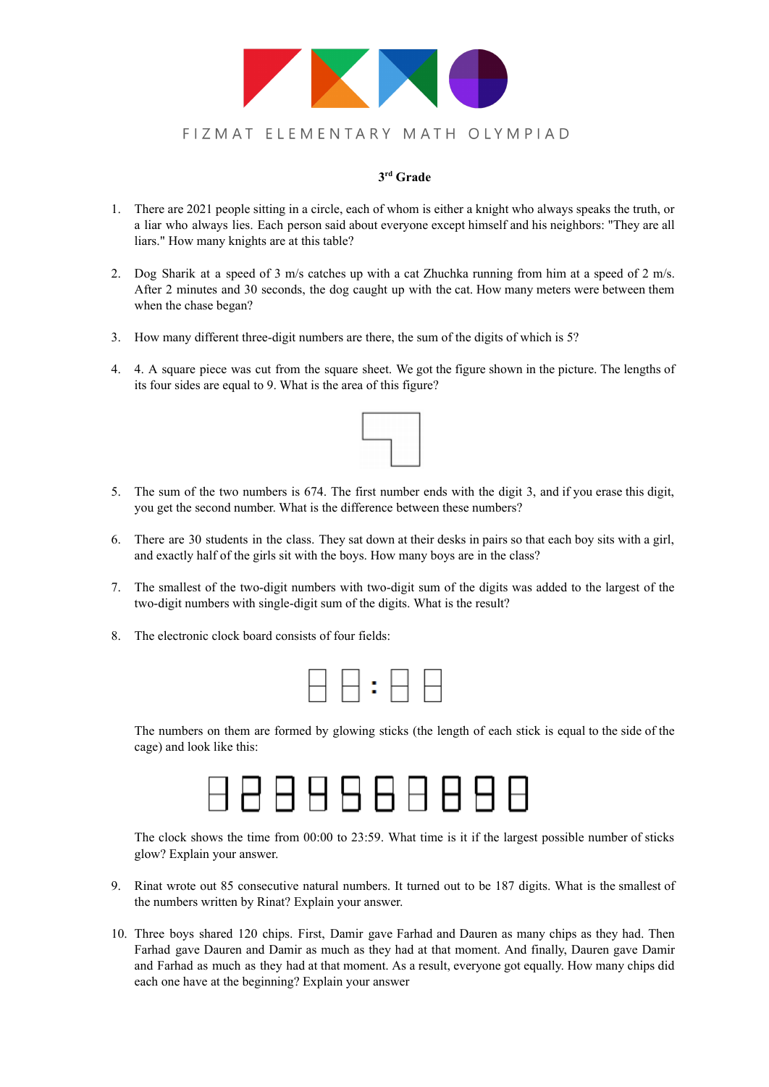

### **3 rd Grade**

- 1. There are 2021 people sitting in a circle, each of whom is either a knight who always speaks the truth, or a liar who always lies. Each person said about everyone except himself and his neighbors: "They are all liars." How many knights are at this table?
- 2. Dog Sharik at a speed of 3 m/s catches up with a cat Zhuchka running from him at a speed of 2 m/s. After 2 minutes and 30 seconds, the dog caught up with the cat. How many meters were between them when the chase began?
- 3. How many different three-digit numbers are there, the sum of the digits of which is 5?
- 4. 4. A square piece was cut from the square sheet. We got the figure shown in the picture. The lengths of its four sides are equal to 9. What is the area of this figure?



- 5. The sum of the two numbers is 674. The first number ends with the digit 3, and if you erase this digit, you get the second number. What is the difference between these numbers?
- 6. There are 30 students in the class. They sat down at their desks in pairs so that each boy sits with a girl, and exactly half of the girls sit with the boys. How many boys are in the class?
- 7. The smallest of the two-digit numbers with two-digit sum of the digits was added to the largest of the two-digit numbers with single-digit sum of the digits. What is the result?
- 8. The electronic clock board consists of four fields:



The numbers on them are formed by glowing sticks (the length of each stick is equal to the side of the cage) and look like this:



The clock shows the time from 00:00 to 23:59. What time is it if the largest possible number of sticks glow? Explain your answer.

- 9. Rinat wrote out 85 consecutive natural numbers. It turned out to be 187 digits. What is the smallest of the numbers written by Rinat? Explain your answer.
- 10. Three boys shared 120 chips. First, Damir gave Farhad and Dauren as many chips as they had. Then Farhad gave Dauren and Damir as much as they had at that moment. And finally, Dauren gave Damir and Farhad as much as they had at that moment. As a result, everyone got equally. How many chips did each one have at the beginning? Explain your answer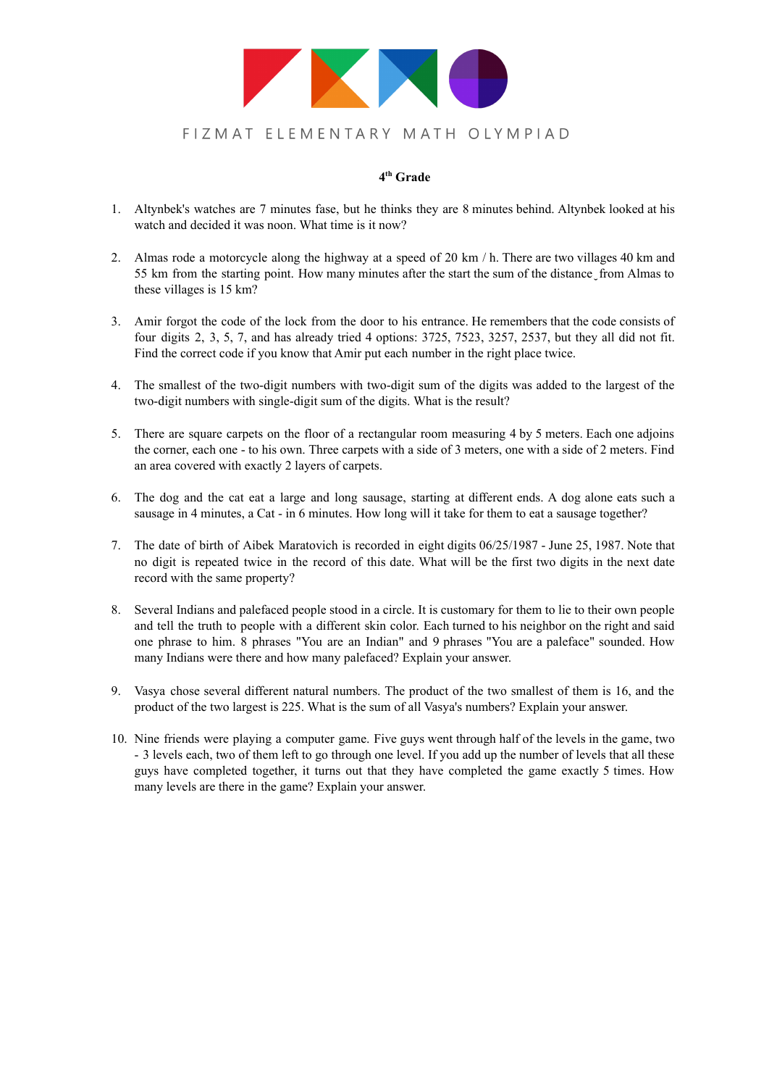

### **4 th Grade**

- 1. Altynbek's watches are 7 minutes fase, but he thinks they are 8 minutes behind. Altynbek looked at his watch and decided it was noon. What time is it now?
- 2. Almas rode a motorcycle along the highway at a speed of 20 km / h. There are two villages 40 km and 55 km from the starting point. How many minutes after the start the sum of the distance from Almas to these villages is 15 km?
- 3. Amir forgot the code of the lock from the door to his entrance. He remembers that the code consists of four digits 2, 3, 5, 7, and has already tried 4 options: 3725, 7523, 3257, 2537, but they all did not fit. Find the correct code if you know that Amir put each number in the right place twice.
- 4. The smallest of the two-digit numbers with two-digit sum of the digits was added to the largest of the two-digit numbers with single-digit sum of the digits. What is the result?
- 5. There are square carpets on the floor of a rectangular room measuring 4 by 5 meters. Each one adjoins the corner, each one - to his own. Three carpets with a side of 3 meters, one with a side of 2 meters. Find an area covered with exactly 2 layers of carpets.
- 6. The dog and the cat eat a large and long sausage, starting at different ends. A dog alone eats such a sausage in 4 minutes, a Cat - in 6 minutes. How long will it take for them to eat a sausage together?
- 7. The date of birth of Aibek Maratovich is recorded in eight digits 06/25/1987 June 25, 1987. Note that no digit is repeated twice in the record of this date. What will be the first two digits in the next date record with the same property?
- 8. Several Indians and palefaced people stood in a circle. It is customary for them to lie to their own people and tell the truth to people with a different skin color. Each turned to his neighbor on the right and said one phrase to him. 8 phrases "You are an Indian" and 9 phrases "You are a paleface" sounded. How many Indians were there and how many palefaced? Explain your answer.
- 9. Vasya chose several different natural numbers. The product of the two smallest of them is 16, and the product of the two largest is 225. What is the sum of all Vasya's numbers? Explain your answer.
- 10. Nine friends were playing a computer game. Five guys went through half of the levels in the game, two - 3 levels each, two of them left to go through one level. If you add up the number of levels that all these guys have completed together, it turns out that they have completed the game exactly 5 times. How many levels are there in the game? Explain your answer.